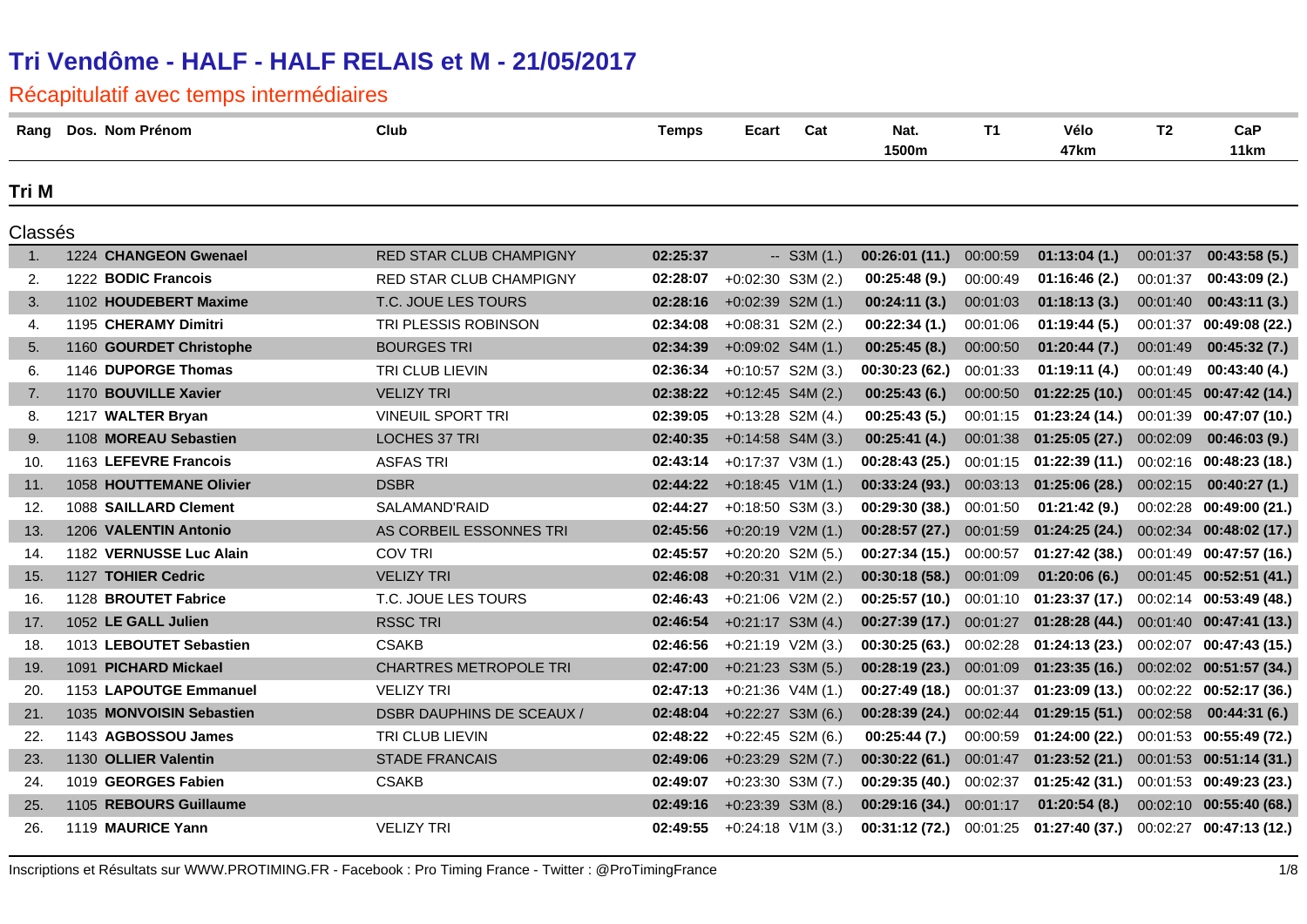| Rang           | Dos. Nom Prénom          | Club                             | <b>Temps</b> | Cat<br>Ecart        | Nat.<br>1500m  | <b>T1</b> | Vélo<br>47km                               | T2       | CaP<br>11 <sub>km</sub>   |
|----------------|--------------------------|----------------------------------|--------------|---------------------|----------------|-----------|--------------------------------------------|----------|---------------------------|
| Tri M          |                          |                                  |              |                     |                |           |                                            |          |                           |
| Classés        |                          |                                  |              |                     |                |           |                                            |          |                           |
| $\mathbf{1}$ . | 1224 CHANGEON Gwenael    | RED STAR CLUB CHAMPIGNY          | 02:25:37     | $-$ S3M (1.)        | 00:26:01 (11.) | 00:00:59  | 01:13:04(1.)                               | 00:01:37 | 00:43:58(5.)              |
| 2.             | 1222 BODIC Francois      | RED STAR CLUB CHAMPIGNY          | 02:28:07     | $+0:02:30$ S3M (2.) | 00:25:48(9.)   | 00:00:49  | 01:16:46(2.)                               | 00:01:37 | 00:43:09(2.)              |
| 3.             | 1102 HOUDEBERT Maxime    | T.C. JOUE LES TOURS              | 02:28:16     | $+0:02:39$ S2M (1.) | 00:24:11(3.)   | 00:01:03  | 01:18:13(3.)                               | 00:01:40 | 00:43:11(3.)              |
| 4.             | 1195 CHERAMY Dimitri     | TRI PLESSIS ROBINSON             | 02:34:08     | $+0:08:31$ S2M (2.) | 00:22:34(1.)   | 00:01:06  | 01:19:44(5.)                               | 00:01:37 | 00:49:08 (22.)            |
| 5.             | 1160 GOURDET Christophe  | <b>BOURGES TRI</b>               | 02:34:39     | $+0:09:02$ S4M (1.) | 00:25:45(8.)   | 00:00:50  | 01:20:44(7.)                               | 00:01:49 | 00:45:32(7.)              |
| 6.             | 1146 DUPORGE Thomas      | TRI CLUB LIEVIN                  | 02:36:34     | $+0:10:57$ S2M (3.) | 00:30:23(62)   | 00:01:33  | 01:19:11(4.)                               | 00:01:49 | 00:43:40(4.)              |
| 7.             | 1170 BOUVILLE Xavier     | <b>VELIZY TRI</b>                | 02:38:22     | $+0:12:45$ S4M (2.) | 00:25:43(6.)   | 00:00:50  | 01:22:25(10.)                              |          | 00:01:45 00:47:42 (14.)   |
| 8.             | 1217 WALTER Bryan        | <b>VINEUIL SPORT TRI</b>         | 02:39:05     | $+0:13:28$ S2M (4.) | 00:25:43(5.)   | 00:01:15  | 01:23:24(14.)                              |          | 00:01:39 00:47:07 (10.)   |
| 9.             | 1108 MOREAU Sebastien    | LOCHES 37 TRI                    | 02:40:35     | $+0:14:58$ S4M (3.) | 00:25:41(4.)   | 00:01:38  | 01:25:05(27.)                              | 00:02:09 | 00:46:03(9.)              |
| 10.            | 1163 LEFEVRE Francois    | <b>ASFAS TRI</b>                 | 02:43:14     | $+0:17:37$ V3M (1.) | 00:28:43(25)   | 00:01:15  | 01:22:39 (11.)                             |          | $00:02:16$ 00:48:23 (18.) |
| 11.            | 1058 HOUTTEMANE Olivier  | <b>DSBR</b>                      | 02:44:22     | $+0:18:45$ V1M (1.) | 00:33:24(93)   | 00:03:13  | 01:25:06(28.)                              | 00:02:15 | 00:40:27(1.)              |
| 12.            | 1088 SAILLARD Clement    | SALAMAND'RAID                    | 02:44:27     | $+0:18:50$ S3M (3.) | 00:29:30(38)   | 00:01:50  | 01:21:42(9.)                               |          | 00:02:28 00:49:00 (21.)   |
| 13.            | 1206 VALENTIN Antonio    | AS CORBEIL ESSONNES TRI          | 02:45:56     | $+0:20:19$ V2M (1.) | 00:28:57(27.)  | 00:01:59  | 01:24:25(24.)                              |          | 00:02:34 00:48:02 (17.)   |
| 14.            | 1182 VERNUSSE Luc Alain  | <b>COV TRI</b>                   | 02:45:57     | $+0:20:20$ S2M (5.) | 00:27:34(15)   | 00:00:57  | 01:27:42(38.)                              |          | $00:01:49$ 00:47:57 (16.) |
| 15.            | 1127 TOHIER Cedric       | <b>VELIZY TRI</b>                | 02:46:08     | $+0:20:31$ V1M (2.) | 00:30:18(58.)  | 00:01:09  | 01:20:06(6.)                               |          | 00:01:45 00:52:51 (41.)   |
| 16.            | 1128 BROUTET Fabrice     | T.C. JOUE LES TOURS              | 02:46:43     | $+0:21:06$ V2M (2.) | 00:25:57(10.)  |           | $00:01:10$ 01:23:37 (17.)                  |          | 00:02:14 00:53:49 (48.)   |
| 17.            | 1052 LE GALL Julien      | <b>RSSC TRI</b>                  | 02:46:54     | $+0:21:17$ S3M (4.) | 00:27:39 (17.) | 00:01:27  | 01:28:28(44.)                              |          | 00:01:40 00:47:41 (13.)   |
| 18.            | 1013 LEBOUTET Sebastien  | <b>CSAKB</b>                     | 02:46:56     | $+0:21:19$ V2M (3.) | 00:30:25(63)   | 00:02:28  | 01:24:13(23.)                              |          | $00:02:07$ 00:47:43 (15.) |
| 19.            | 1091 PICHARD Mickael     | <b>CHARTRES METROPOLE TRI</b>    | 02:47:00     | $+0:21:23$ S3M (5.) | 00:28:19(23)   | 00:01:09  | 01:23:35(16.)                              |          | 00:02:02 00:51:57 (34.)   |
| 20.            | 1153 LAPOUTGE Emmanuel   | <b>VELIZY TRI</b>                | 02:47:13     | $+0:21:36$ V4M (1.) | 00:27:49(18.)  | 00:01:37  | 01:23:09(13.)                              |          | 00:02:22 00:52:17 (36.)   |
| 21.            | 1035 MONVOISIN Sebastien | <b>DSBR DAUPHINS DE SCEAUX /</b> | 02:48:04     | $+0:22:27$ S3M (6.) | 00:28:39(24.)  | 00:02:44  | 01:29:15(51.)                              | 00:02:58 | 00:44:31(6.)              |
| 22.            | 1143 AGBOSSOU James      | TRI CLUB LIEVIN                  | 02:48:22     | $+0:22:45$ S2M (6.) | 00:25:44(7.)   | 00:00:59  | 01:24:00(22.)                              |          | 00:01:53 00:55:49 (72.)   |
| 23.            | 1130 OLLIER Valentin     | <b>STADE FRANCAIS</b>            | 02:49:06     | $+0:23:29$ S2M (7.) | 00:30:22(61)   | 00:01:47  | 01:23:52(21.)                              |          | 00:01:53 00:51:14 (31.)   |
| 24.            | 1019 GEORGES Fabien      | <b>CSAKB</b>                     | 02:49:07     | $+0:23:30$ S3M (7.) | 00:29:35(40.)  | 00:02:37  | $01:25:42(31.)$ $00:01:53$ $00:49:23(23.)$ |          |                           |
| 25.            | 1105 REBOURS Guillaume   |                                  | 02:49:16     | $+0:23:39$ S3M (8.) | 00:29:16 (34.) | 00:01:17  | 01:20:54(8.)                               |          | 00:02:10 00:55:40 (68.)   |
| 26.            | 1119 MAURICE Yann        | <b>VELIZY TRI</b>                | 02:49:55     | $+0:24:18$ V1M (3.) | 00:31:12 (72.) |           | 00:01:25  01:27:40 (37.)                   |          | 00:02:27 00:47:13 (12.)   |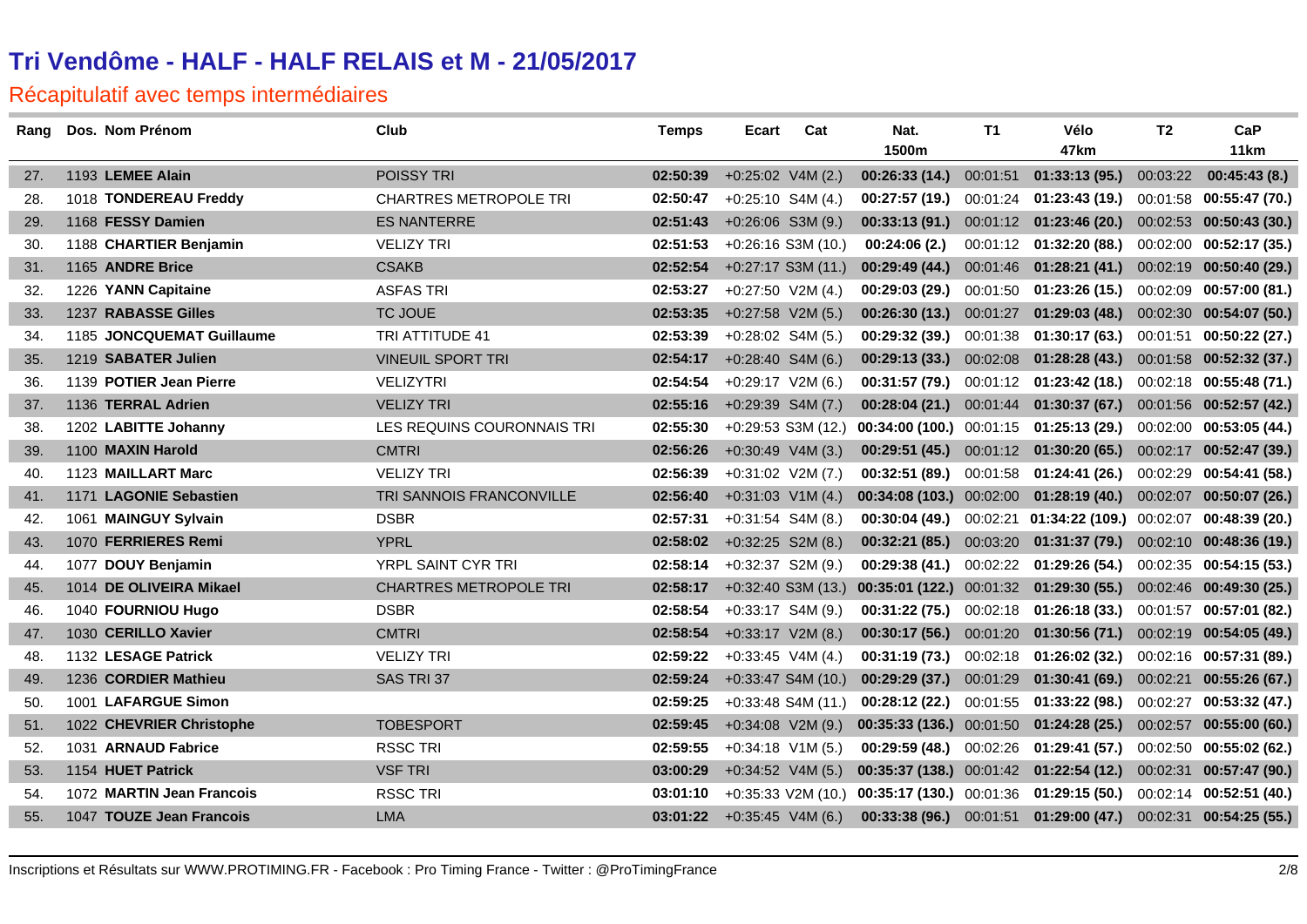| Rang | Dos. Nom Prénom           | Club                          | <b>Temps</b> | Ecart                        | Cat                  | Nat.          | T1       | Vélo                                                            | T2       | CaP                       |
|------|---------------------------|-------------------------------|--------------|------------------------------|----------------------|---------------|----------|-----------------------------------------------------------------|----------|---------------------------|
|      |                           |                               |              |                              |                      | 1500m         |          | 47km                                                            |          | 11 <sub>km</sub>          |
| 27.  | 1193 LEMEE Alain          | POISSY TRI                    | 02:50:39     | $+0:25:02$ V4M (2.)          |                      | 00:26:33(14)  | 00:01:51 | 01:33:13(95.)                                                   | 00:03:22 | 00:45:43(8.)              |
| 28.  | 1018 TONDEREAU Freddy     | <b>CHARTRES METROPOLE TRI</b> | 02:50:47     | $+0:25:10$ S4M (4.)          |                      | 00:27:57(19)  |          | $00:01:24$ 01:23:43 (19.)                                       |          | 00:01:58 00:55:47 (70.)   |
| 29.  | 1168 FESSY Damien         | <b>ES NANTERRE</b>            | 02:51:43     | $+0:26:06$ S3M (9.)          |                      |               |          | 00:33:13 (91.) 00:01:12 01:23:46 (20.) 00:02:53 00:50:43 (30.)  |          |                           |
| 30.  | 1188 CHARTIER Benjamin    | <b>VELIZY TRI</b>             | 02:51:53     | $+0.26:16$ S3M (10.)         |                      | 00:24:06(2.)  |          | $00:01:12$ 01:32:20 (88.)                                       |          | $00:02:00$ 00:52:17 (35.) |
| 31.  | 1165 ANDRE Brice          | <b>CSAKB</b>                  | 02:52:54     | $+0:27:17$ S3M (11.)         |                      | 00:29:49(44)  |          | $00:01:46$ 01:28:21 (41.)                                       |          | 00:02:19 00:50:40 (29.)   |
| 32.  | 1226 YANN Capitaine       | <b>ASFAS TRI</b>              | 02:53:27     | $+0:27:50$ V2M (4.)          |                      | 00:29:03(29.) |          | $00:01:50$ 01:23:26 (15.)                                       |          | 00:02:09 00:57:00 (81.)   |
| 33.  | 1237 RABASSE Gilles       | <b>TC JOUE</b>                | 02:53:35     | $+0.27:58$ V2M (5.)          |                      | 00:26:30(13.) | 00:01:27 | 01:29:03(48.)                                                   |          | $00:02:30$ 00:54:07 (50.) |
| 34.  | 1185 JONCQUEMAT Guillaume | <b>TRI ATTITUDE 41</b>        | 02:53:39     | $+0:28:02$ S4M (5.)          |                      | 00:29:32(39)  |          | 00:01:38  01:30:17  (63.)  00:01:51  00:50:22  (27.)            |          |                           |
| 35.  | 1219 SABATER Julien       | <b>VINEUIL SPORT TRI</b>      | 02:54:17     | $+0:28:40$ S4M (6.)          |                      | 00:29:13(33)  | 00:02:08 | 01:28:28(43.)                                                   |          | 00:01:58 00:52:32 (37.)   |
| 36.  | 1139 POTIER Jean Pierre   | <b>VELIZYTRI</b>              | 02:54:54     | $+0:29:17$ V2M (6.)          |                      |               |          | 00:31:57 (79.) 00:01:12 01:23:42 (18.) 00:02:18 00:55:48 (71.)  |          |                           |
| 37.  | 1136 TERRAL Adrien        | <b>VELIZY TRI</b>             | 02:55:16     | $+0:29:39$ S4M (7.)          |                      | 00:28:04(21.) |          | 00:01:44  01:30:37  (67.)  00:01:56  00:52:57  (42.)            |          |                           |
| 38.  | 1202 LABITTE Johanny      | LES REQUINS COURONNAIS TRI    | 02:55:30     | $+0.29:53$ S3M (12.)         |                      |               |          | $00:34:00(100.)$ $00:01:15$ $01:25:13(29.)$                     |          | 00:02:00 00:53:05 (44.)   |
| 39.  | 1100 MAXIN Harold         | <b>CMTRI</b>                  | 02:56:26     | $+0:30:49$ V4M (3.)          |                      |               |          | 00:29:51 (45.) 00:01:12 01:30:20 (65.) 00:02:17 00:52:47 (39.)  |          |                           |
| 40.  | 1123 MAILLART Marc        | <b>VELIZY TRI</b>             | 02:56:39     | $+0:31:02$ V2M (7.)          |                      | 00:32:51(89.) |          | $00:01:58$ 01:24:41 (26.)                                       |          | 00:02:29 00:54:41 (58.)   |
| 41.  | 1171 LAGONIE Sebastien    | TRI SANNOIS FRANCONVILLE      | 02:56:40     | $+0:31:03$ V1M (4.)          |                      |               |          | 00:34:08 (103.) 00:02:00 01:28:19 (40.) 00:02:07 00:50:07 (26.) |          |                           |
| 42.  | 1061 MAINGUY Sylvain      | <b>DSBR</b>                   | 02:57:31     | $+0:31:54$ S4M (8.)          |                      | 00:30:04(49)  |          | 00:02:21  01:34:22  (109.)  00:02:07                            |          | 00:48:39 (20.)            |
| 43.  | 1070 FERRIERES Remi       | <b>YPRL</b>                   | 02:58:02     | $+0:32:25$ S2M (8.)          |                      | 00:32:21(85.) |          | 00:03:20  01:31:37 (79.)  00:02:10  00:48:36 (19.)              |          |                           |
| 44.  | 1077 DOUY Benjamin        | YRPL SAINT CYR TRI            | 02:58:14     | $+0.32:37$ S2M (9.)          |                      | 00:29:38(41)  |          | 00:02:22  01:29:26  (54.)  00:02:35  00:54:15  (53.)            |          |                           |
| 45.  | 1014 DE OLIVEIRA Mikael   | <b>CHARTRES METROPOLE TRI</b> | 02:58:17     | $+0:32:40$ S3M (13.)         |                      |               |          | $00:35:01(122.)$ $00:01:32$ $01:29:30(55.)$                     |          | 00:02:46 00:49:30 (25.)   |
| 46.  | 1040 FOURNIOU Hugo        | <b>DSBR</b>                   | 02:58:54     | $+0:33:17$ S4M (9.)          |                      |               |          | 00:31:22 (75.) 00:02:18 01:26:18 (33.) 00:01:57 00:57:01 (82.)  |          |                           |
| 47.  | 1030 CERILLO Xavier       | <b>CMTRI</b>                  | 02:58:54     | $+0:33:17$ V2M (8.)          |                      | 00:30:17(56)  |          | $00:01:20$ 01:30:56 (71.)                                       |          | 00:02:19 00:54:05 (49.)   |
| 48.  | 1132 LESAGE Patrick       | <b>VELIZY TRI</b>             | 02:59:22     | $+0:33:45$ V4M (4.)          |                      |               |          | 00:31:19 (73.) 00:02:18 01:26:02 (32.) 00:02:16 00:57:31 (89.)  |          |                           |
| 49.  | 1236 CORDIER Mathieu      | SAS TRI 37                    | 02:59:24     | $+0:33:47$ S4M (10.)         |                      | 00:29:29(37.) | 00:01:29 | 01:30:41(69.)                                                   | 00:02:21 | 00:55:26(67.)             |
| 50.  | 1001 LAFARGUE Simon       |                               | 02:59:25     | $+0:33:48$ S4M (11.)         |                      | 00:28:12(22)  |          | $00:01:55$ 01:33:22 (98.)                                       | 00:02:27 | 00:53:32 (47.)            |
| 51.  | 1022 CHEVRIER Christophe  | <b>TOBESPORT</b>              | 02:59:45     | $+0:34:08$ V2M (9.)          |                      |               |          | $00:35:33(136.)$ $00:01:50$ $01:24:28(25.)$                     | 00:02:57 | 00:55:00(60.)             |
| 52.  | 1031 ARNAUD Fabrice       | <b>RSSC TRI</b>               | 02:59:55     | $+0:34:18$ V1M (5.)          |                      |               |          | $00:29:59(48.)$ $00:02:26$ $01:29:41(57.)$                      | 00:02:50 | 00:55:02(62.)             |
| 53.  | 1154 HUET Patrick         | <b>VSF TRI</b>                | 03:00:29     | $+0:34:52$ V4M (5.)          |                      |               |          | $00:35:37(138.)$ $00:01:42$ $01:22:54(12.)$                     | 00:02:31 | 00:57:47(90.)             |
| 54.  | 1072 MARTIN Jean Francois | <b>RSSC TRI</b>               | 03:01:10     |                              | $+0:35:33$ V2M (10.) |               |          | $00:35:17(130.)$ $00:01:36$ $01:29:15(50.)$                     |          | 00:02:14 00:52:51 (40.)   |
| 55.  | 1047 TOUZE Jean Francois  | <b>LMA</b>                    |              | $03:01:22 +0:35:45$ V4M (6.) |                      |               |          | 00:33:38 (96.) 00:01:51 01:29:00 (47.) 00:02:31 00:54:25 (55.)  |          |                           |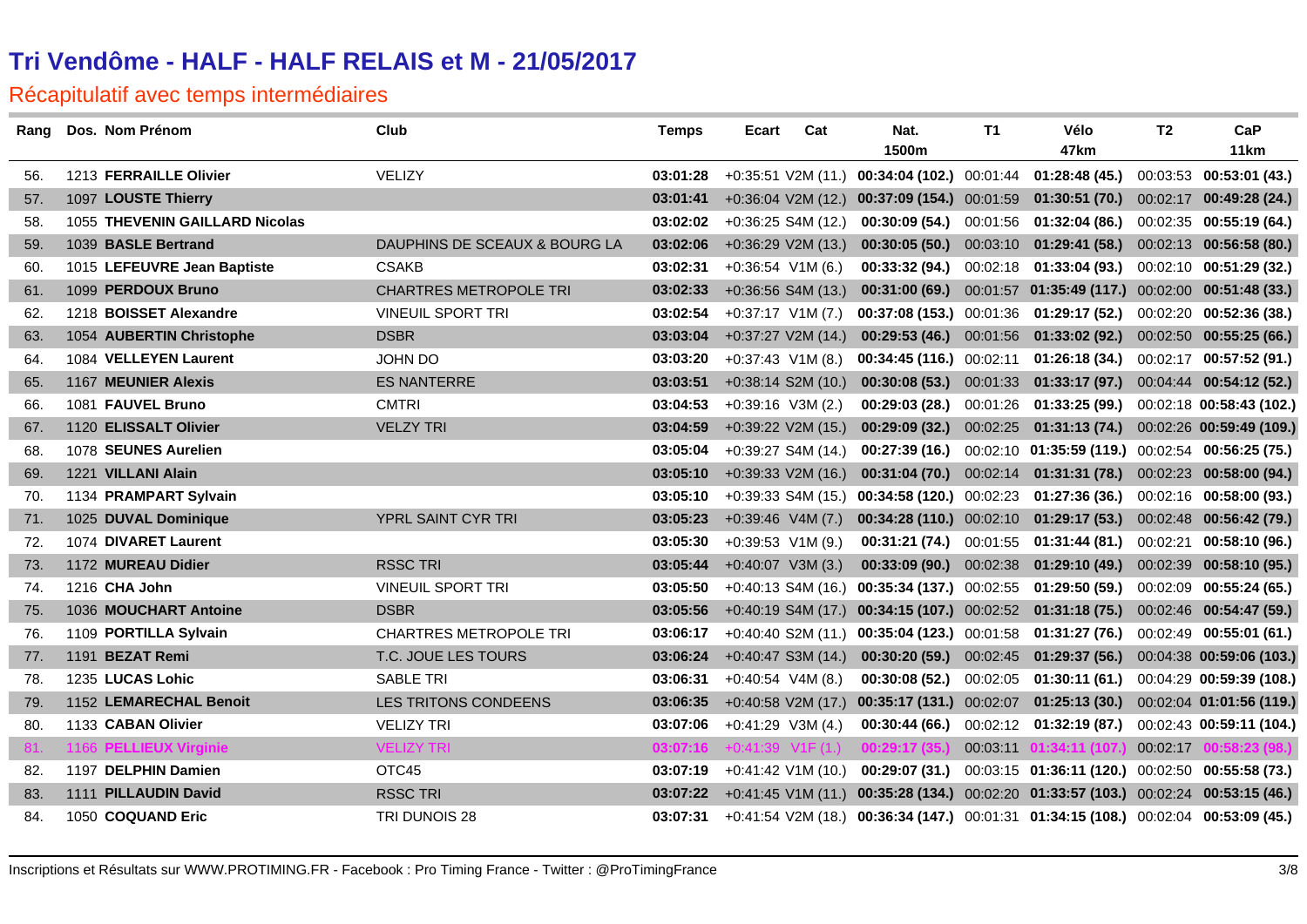| Rang | Dos. Nom Prénom                | Club                          | <b>Temps</b> | Ecart | Cat                  | Nat.                                                                                  | T1       | Vélo                                                            | T2 | CaP                       |
|------|--------------------------------|-------------------------------|--------------|-------|----------------------|---------------------------------------------------------------------------------------|----------|-----------------------------------------------------------------|----|---------------------------|
|      |                                |                               |              |       |                      | 1500m                                                                                 |          | 47km                                                            |    | 11 <sub>km</sub>          |
| 56.  | 1213 FERRAILLE Olivier         | <b>VELIZY</b>                 | 03:01:28     |       |                      | $+0:35:51$ V2M (11.) 00:34:04 (102.) 00:01:44 01:28:48 (45.)                          |          |                                                                 |    | 00:03:53 00:53:01 (43.)   |
| 57.  | 1097 LOUSTE Thierry            |                               | 03:01:41     |       | $+0.36:04$ V2M (12.) | $00:37:09(154.)$ $00:01:59$ $01:30:51(70.)$ $00:02:17$ $00:49:28(24.)$                |          |                                                                 |    |                           |
| 58.  | 1055 THEVENIN GAILLARD Nicolas |                               | 03:02:02     |       | $+0.36:25$ S4M (12.) |                                                                                       |          | 00:30:09 (54.) 00:01:56 01:32:04 (86.) 00:02:35 00:55:19 (64.)  |    |                           |
| 59.  | 1039 BASLE Bertrand            | DAUPHINS DE SCEAUX & BOURG LA | 03:02:06     |       | $+0:36:29$ V2M (13.) | 00:30:05(50.)                                                                         |          | 00:03:10  01:29:41 (58.)  00:02:13  00:56:58 (80.)              |    |                           |
| 60.  | 1015 LEFEUVRE Jean Baptiste    | <b>CSAKB</b>                  | 03:02:31     |       | $+0.36:54$ V1M (6.)  | 00:33:32(94)                                                                          |          | 00:02:18  01:33:04  (93.)  00:02:10  00:51:29  (32.)            |    |                           |
| 61.  | 1099 PERDOUX Bruno             | <b>CHARTRES METROPOLE TRI</b> | 03:02:33     |       | $+0.36:56$ S4M (13.) | 00:31:00(69.)                                                                         |          | 00:01:57 01:35:49 (117.) 00:02:00 00:51:48 (33.)                |    |                           |
| 62.  | 1218 BOISSET Alexandre         | <b>VINEUIL SPORT TRI</b>      | 03:02:54     |       | $+0:37:17$ V1M (7.)  | $00:37:08(153.)$ 00:01:36                                                             |          | 01:29:17 (52.) 00:02:20 00:52:36 (38.)                          |    |                           |
| 63.  | 1054 AUBERTIN Christophe       | <b>DSBR</b>                   | 03:03:04     |       | $+0:37:27$ V2M (14.) | $00:29:53(46.)$ 00:01:56                                                              |          | $01:33:02(92.)$ $00:02:50$ $00:55:25(66.)$                      |    |                           |
| 64.  | 1084 VELLEYEN Laurent          | <b>JOHN DO</b>                | 03:03:20     |       | $+0:37:43$ V1M (8.)  | $00:34:45(116.)$ $00:02:11$                                                           |          | 01:26:18(34)                                                    |    | $00:02:17$ 00:57:52 (91.) |
| 65.  | 1167 MEUNIER Alexis            | <b>ES NANTERRE</b>            | 03:03:51     |       | $+0:38:14$ S2M (10.) | 00:30:08(53)                                                                          |          | 00:01:33  01:33:17  (97.)  00:04:44  00:54:12  (52.)            |    |                           |
| 66.  | 1081 FAUVEL Bruno              | <b>CMTRI</b>                  | 03:04:53     |       | $+0:39:16$ V3M (2.)  | 00:29:03(28.)                                                                         | 00:01:26 | 01:33:25 (99.)                                                  |    | 00:02:18 00:58:43 (102.)  |
| 67.  | 1120 ELISSALT Olivier          | <b>VELZY TRI</b>              | 03:04:59     |       | $+0.39:22$ V2M (15.) | 00:29:09(32)                                                                          |          | 00:02:25  01:31:13  (74.)  00:02:26  00:59:49  (109.)           |    |                           |
| 68.  | 1078 SEUNES Aurelien           |                               | 03:05:04     |       | $+0:39:27$ S4M (14.) | 00:27:39(16.)                                                                         |          | 00:02:10 01:35:59 (119.) 00:02:54 00:56:25 (75.)                |    |                           |
| 69.  | 1221 VILLANI Alain             |                               | 03:05:10     |       | $+0:39:33$ V2M (16.) | 00:31:04(70.)                                                                         |          | 00:02:14  01:31:31  (78.)  00:02:23  00:58:00  (94.)            |    |                           |
| 70.  | 1134 PRAMPART Sylvain          |                               | 03:05:10     |       |                      | $+0.39.33$ S4M (15.) 00:34:58 (120.) 00:02:23 01:27:36 (36.) 00:02:16 00:58:00 (93.)  |          |                                                                 |    |                           |
| 71.  | 1025 DUVAL Dominique           | YPRL SAINT CYR TRI            | 03:05:23     |       | $+0.39:46$ V4M (7.)  |                                                                                       |          | 00:34:28 (110.) 00:02:10 01:29:17 (53.) 00:02:48 00:56:42 (79.) |    |                           |
| 72.  | 1074 DIVARET Laurent           |                               | 03:05:30     |       | $+0:39:53$ V1M (9.)  | <b>00:31:21 (74.)</b> 00:01:55                                                        |          | $01:31:44(81.)$ $00:02:21$ $00:58:10(96.)$                      |    |                           |
| 73.  | 1172 MUREAU Didier             | <b>RSSC TRI</b>               | 03:05:44     |       | $+0:40:07$ V3M (3.)  | $00:33:09(90.)$ $00:02:38$                                                            |          | 01:29:10 (49.) 00:02:39 00:58:10 (95.)                          |    |                           |
| 74.  | 1216 CHA John                  | <b>VINEUIL SPORT TRI</b>      | 03:05:50     |       |                      | $+0.40.13$ S4M (16.) 00:35:34 (137.) 00:02:55                                         |          | 01:29:50 (59.)                                                  |    | $00:02:09$ 00:55:24 (65.) |
| 75.  | 1036 MOUCHART Antoine          | <b>DSBR</b>                   | 03:05:56     |       |                      | +0:40:19 S4M (17.) 00:34:15 (107.) 00:02:52 01:31:18 (75.) 00:02:46 00:54:47 (59.)    |          |                                                                 |    |                           |
| 76.  | 1109 PORTILLA Sylvain          | <b>CHARTRES METROPOLE TRI</b> | 03:06:17     |       | $+0:40:40$ S2M (11.) | $00:35:04(123.)$ $00:01:58$ $01:31:27(76.)$ $00:02:49$ $00:55:01(61.)$                |          |                                                                 |    |                           |
| 77.  | 1191 BEZAT Remi                | T.C. JOUE LES TOURS           | 03:06:24     |       | $+0:40:47$ S3M (14.) |                                                                                       |          | 00:30:20 (59.) 00:02:45 01:29:37 (56.) 00:04:38 00:59:06 (103.) |    |                           |
| 78.  | 1235 LUCAS Lohic               | <b>SABLE TRI</b>              | 03:06:31     |       | $+0:40:54$ V4M (8.)  | 00:30:08(52)                                                                          | 00:02:05 | 01:30:11 (61.)                                                  |    | 00:04:29 00:59:39 (108.)  |
| 79.  | 1152 LEMARECHAL Benoit         | <b>LES TRITONS CONDEENS</b>   | 03:06:35     |       |                      | +0:40:58 V2M (17.) 00:35:17 (131.) 00:02:07 01:25:13 (30.) 00:02:04 01:01:56 (119.)   |          |                                                                 |    |                           |
| 80.  | 1133 CABAN Olivier             | <b>VELIZY TRI</b>             | 03:07:06     |       | $+0:41:29$ V3M (4.)  | 00:30:44(66.)                                                                         |          | $00:02:12$ 01:32:19 (87.)                                       |    | 00:02:43 00:59:11 (104.)  |
| 81.  | 1166 PELLIEUX Virginie         | <b>VELIZY TRI</b>             | 03:07:16     |       |                      | $+0:41:39$ V <sub>1</sub> F(1.) <b>00:29:17(35.)</b>                                  | 00:03:11 | 01:34:11 (107.)                                                 |    | 00:02:17 00:58:23 (98.)   |
| 82.  | 1197 DELPHIN Damien            | OTC45                         | 03:07:19     |       | +0:41:42 V1M (10.)   | 00:29:07 (31.)                                                                        |          | 00:03:15 01:36:11 (120.) 00:02:50 00:55:58 (73.)                |    |                           |
| 83.  | 1111 PILLAUDIN David           | <b>RSSC TRI</b>               | 03:07:22     |       |                      | +0:41:45 V1M (11.) 00:35:28 (134.) 00:02:20 01:33:57 (103.) 00:02:24 00:53:15 (46.)   |          |                                                                 |    |                           |
| 84.  | 1050 COQUAND Eric              | <b>TRI DUNOIS 28</b>          | 03:07:31     |       |                      | $+0.41.54$ V2M (18.) 00:36:34 (147.) 00:01:31 01:34:15 (108.) 00:02:04 00:53:09 (45.) |          |                                                                 |    |                           |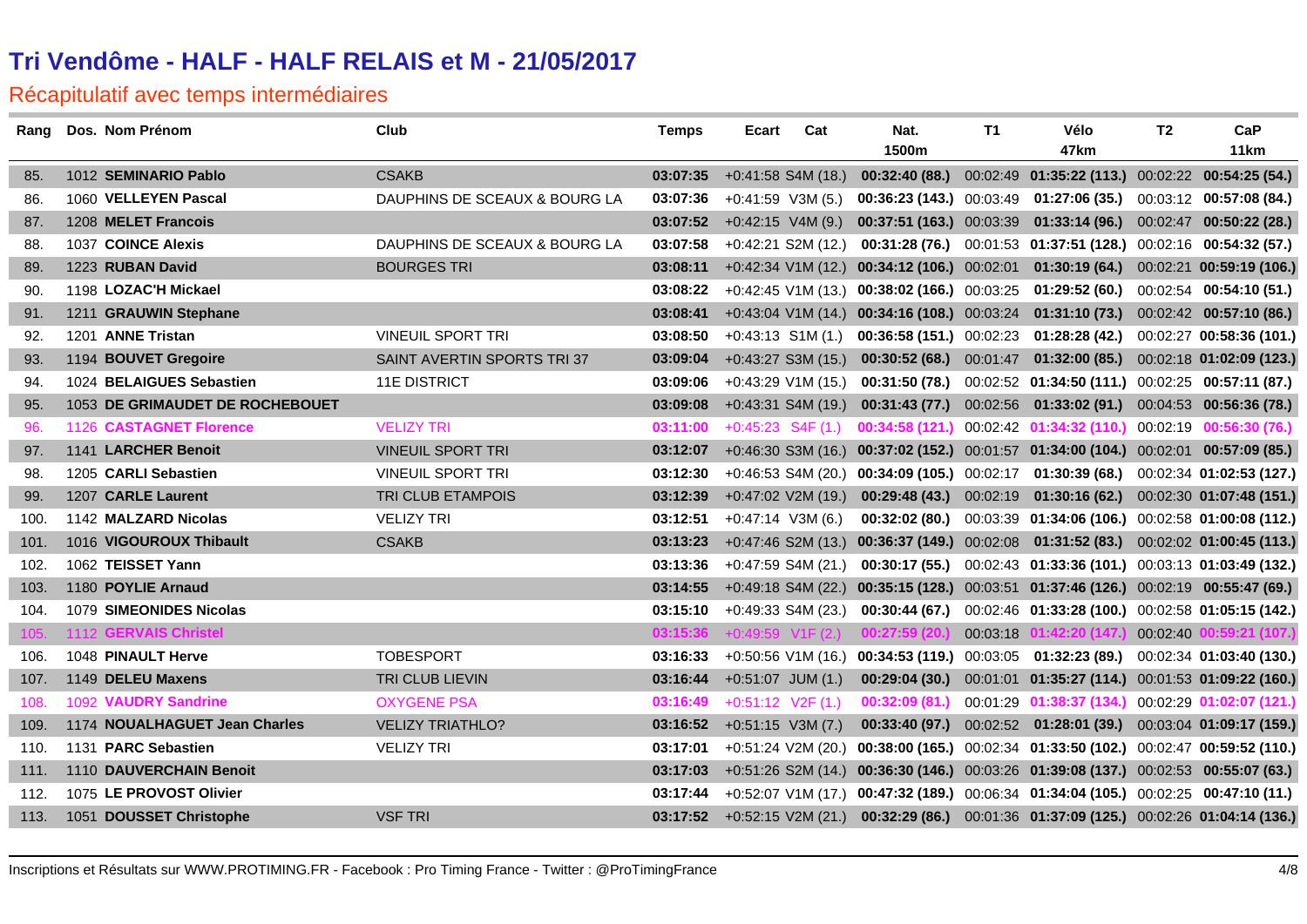| Rang | Dos. Nom Prénom                 | Club                          | <b>Temps</b>                | Ecart               | Cat                   | Nat.          | T1       | Vélo                                                                                         | T <sub>2</sub> | CaP            |
|------|---------------------------------|-------------------------------|-----------------------------|---------------------|-----------------------|---------------|----------|----------------------------------------------------------------------------------------------|----------------|----------------|
|      |                                 |                               |                             |                     |                       | 1500m         |          | 47km                                                                                         |                | 11km           |
| 85.  | 1012 SEMINARIO Pablo            | <b>CSAKB</b>                  | 03:07:35                    |                     | $+0:41:58$ S4M (18.)  |               |          | 00:32:40 (88.) 00:02:49 01:35:22 (113.) 00:02:22 00:54:25 (54.)                              |                |                |
| 86.  | 1060 VELLEYEN Pascal            | DAUPHINS DE SCEAUX & BOURG LA | 03:07:36                    |                     | $+0:41:59$ V3M (5.)   |               |          | 00:36:23 (143.) 00:03:49 01:27:06 (35.) 00:03:12 00:57:08 (84.)                              |                |                |
| 87.  | 1208 MELET Francois             |                               | 03:07:52                    | $+0.42:15$ V4M (9.) |                       |               |          | 00:37:51 (163.) 00:03:39 01:33:14 (96.) 00:02:47 00:50:22 (28.)                              |                |                |
| 88.  | 1037 COINCE Alexis              | DAUPHINS DE SCEAUX & BOURG LA | 03:07:58                    |                     | $+0:42:21$ S2M (12.)  |               |          | 00:31:28 (76.) 00:01:53 01:37:51 (128.) 00:02:16 00:54:32 (57.)                              |                |                |
| 89.  | 1223 RUBAN David                | <b>BOURGES TRI</b>            | 03:08:11                    |                     |                       |               |          | +0:42:34 V1M (12.) 00:34:12 (106.) 00:02:01 01:30:19 (64.) 00:02:21 00:59:19 (106.)          |                |                |
| 90.  | 1198 LOZAC'H Mickael            |                               | 03:08:22                    |                     |                       |               |          | $+0.42.45$ V1M (13.) 00:38:02 (166.) 00:03:25 01:29:52 (60.) 00:02:54 00:54:10 (51.)         |                |                |
| 91.  | 1211 GRAUWIN Stephane           |                               | 03:08:41                    |                     |                       |               |          | +0:43:04 V1M (14.) 00:34:16 (108.) 00:03:24 01:31:10 (73.) 00:02:42 00:57:10 (86.)           |                |                |
| 92.  | 1201 ANNE Tristan               | <b>VINEUIL SPORT TRI</b>      | 03:08:50                    |                     |                       |               |          | +0:43:13 S1M (1.) 00:36:58 (151.) 00:02:23 01:28:28 (42.) 00:02:27 00:58:36 (101.)           |                |                |
| 93.  | 1194 BOUVET Gregoire            | SAINT AVERTIN SPORTS TRI 37   | 03:09:04                    |                     | $+0:43:27$ S3M (15.)  |               |          | 00:30:52 (68.) 00:01:47 01:32:00 (85.) 00:02:18 01:02:09 (123.)                              |                |                |
| 94.  | 1024 BELAIGUES Sebastien        | <b>11E DISTRICT</b>           | 03:09:06                    |                     | +0:43:29 V1M (15.)    |               |          | $00:31:50(78.)$ $00:02:52$ $01:34:50(111.)$ $00:02:25$ $00:57:11(87.)$                       |                |                |
| 95.  | 1053 DE GRIMAUDET DE ROCHEBOUET |                               | 03:09:08                    |                     | $+0:43:31$ S4M (19.)  |               |          | 00:31:43 (77.) 00:02:56 01:33:02 (91.) 00:04:53 00:56:36 (78.)                               |                |                |
| 96.  | 1126 CASTAGNET Florence         | <b>VELIZY TRI</b>             | 03:11:00                    |                     | $+0:45:23$ S4F $(1.)$ |               |          | $00:34:58(121.)$ $00:02:42$ $01:34:32(110.)$ $00:02:19$ $00:56:30(76.)$                      |                |                |
| 97.  | 1141 LARCHER Benoit             | <b>VINEUIL SPORT TRI</b>      | 03:12:07                    |                     |                       |               |          | +0:46:30 S3M (16.) 00:37:02 (152.) 00:01:57 01:34:00 (104.) 00:02:01 00:57:09 (85.)          |                |                |
| 98.  | 1205 CARLI Sebastien            | <b>VINEUIL SPORT TRI</b>      | 03:12:30                    |                     |                       |               |          | +0:46:53 S4M (20.) 00:34:09 (105.) 00:02:17 01:30:39 (68.) 00:02:34 01:02:53 (127.)          |                |                |
| 99.  | 1207 CARLE Laurent              | TRI CLUB ETAMPOIS             | 03:12:39                    |                     | $+0:47:02$ V2M (19.)  |               |          | 00:29:48 (43.) 00:02:19 01:30:16 (62.) 00:02:30 01:07:48 (151.)                              |                |                |
| 100. | 1142 MALZARD Nicolas            | <b>VELIZY TRI</b>             | 03:12:51                    |                     | $+0:47:14$ V3M (6.)   |               |          | 00:32:02 (80.) 00:03:39 01:34:06 (106.) 00:02:58 01:00:08 (112.)                             |                |                |
| 101. | 1016 VIGOUROUX Thibault         | <b>CSAKB</b>                  | 03:13:23                    |                     |                       |               |          | +0:47:46 S2M (13.) 00:36:37 (149.) 00:02:08 01:31:52 (83.) 00:02:02 01:00:45 (113.)          |                |                |
| 102. | 1062 TEISSET Yann               |                               | 03:13:36                    |                     | $+0:47:59$ S4M (21.)  |               |          | 00:30:17 (55.) 00:02:43 01:33:36 (101.) 00:03:13 01:03:49 (132.)                             |                |                |
| 103. | 1180 POYLIE Arnaud              |                               | 03:14:55                    |                     |                       |               |          | +0:49:18 S4M (22.) 00:35:15 (128.) 00:03:51 01:37:46 (126.) 00:02:19 00:55:47 (69.)          |                |                |
| 104. | 1079 SIMEONIDES Nicolas         |                               | 03:15:10 +0:49:33 S4M (23.) |                     |                       |               |          | 00:30:44 (67.) 00:02:46 01:33:28 (100.) 00:02:58 01:05:15 (142.)                             |                |                |
| 105. | 1112 GERVAIS Christel           |                               | 03:15:36                    |                     | $+0.49:59$ V1F (2.)   | 00:27:59(20)  | 00:03:18 | 01:42:20 (147.)                                                                              | 00:02:40       | 0:59:21 (107.) |
| 106. | 1048 PINAULT Herve              | <b>TOBESPORT</b>              |                             |                     |                       |               |          | 03:16:33 +0:50:56 V1M (16.) 00:34:53 (119.) 00:03:05 01:32:23 (89.) 00:02:34 01:03:40 (130.) |                |                |
| 107. | 1149 DELEU Maxens               | TRI CLUB LIEVIN               | 03:16:44                    | $+0:51:07$ JUM (1.) |                       |               |          | 00:29:04 (30.) 00:01:01 01:35:27 (114.) 00:01:53 01:09:22 (160.)                             |                |                |
| 108. | 1092 VAUDRY Sandrine            | <b>OXYGENE PSA</b>            | 03:16:49                    | $+0:51:12$ V2F (1.) |                       | 00:32:09(81.) |          | 00:01:29  01:38:37  (134.)  00:02:29  01:02:07  (121.)                                       |                |                |
| 109. | 1174 NOUALHAGUET Jean Charles   | <b>VELIZY TRIATHLO?</b>       | 03:16:52                    | $+0:51:15$ V3M (7.) |                       |               |          | 00:33:40 (97.) 00:02:52 01:28:01 (39.) 00:03:04 01:09:17 (159.)                              |                |                |
| 110. | 1131 PARC Sebastien             | <b>VELIZY TRI</b>             | 03:17:01                    |                     |                       |               |          | +0:51:24 V2M (20.) 00:38:00 (165.) 00:02:34 01:33:50 (102.) 00:02:47 00:59:52 (110.)         |                |                |
| 111. | 1110 DAUVERCHAIN Benoit         |                               | 03:17:03                    |                     |                       |               |          | +0:51:26 S2M (14.) 00:36:30 (146.) 00:03:26 01:39:08 (137.) 00:02:53 00:55:07 (63.)          |                |                |
| 112. | 1075 LE PROVOST Olivier         |                               | 03:17:44                    |                     |                       |               |          | +0:52:07 V1M (17.) 00:47:32 (189.) 00:06:34 01:34:04 (105.) 00:02:25 00:47:10 (11.)          |                |                |
| 113. | 1051 DOUSSET Christophe         | <b>VSF TRI</b>                |                             |                     |                       |               |          | 03:17:52 +0:52:15 V2M (21.) 00:32:29 (86.) 00:01:36 01:37:09 (125.) 00:02:26 01:04:14 (136.) |                |                |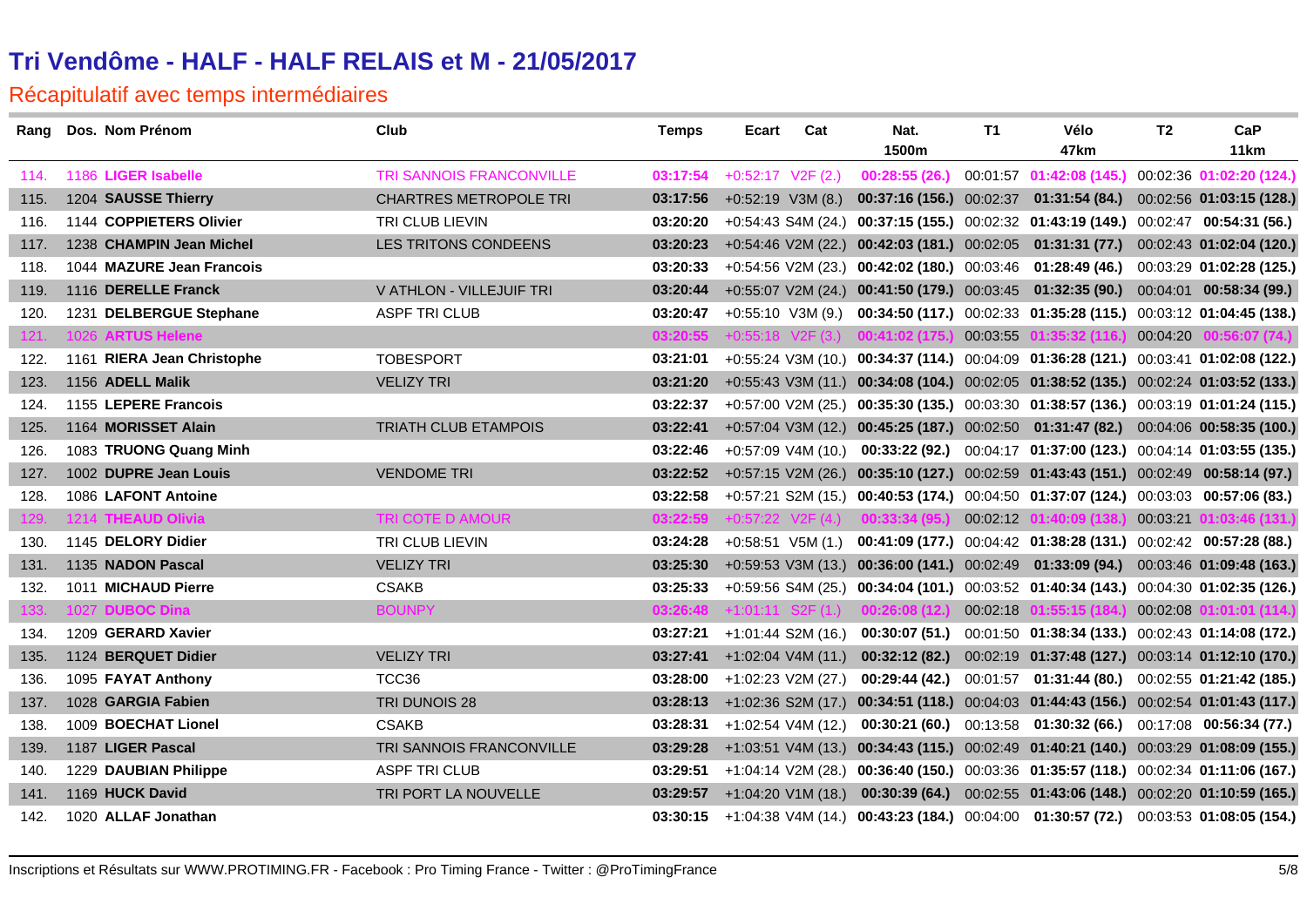| Rang | Dos. Nom Prénom            | Club                          | <b>Temps</b> | Ecart                         | Cat                | Nat.                                        | T1       | Vélo                                                                                          | T <sub>2</sub> | CaP                      |
|------|----------------------------|-------------------------------|--------------|-------------------------------|--------------------|---------------------------------------------|----------|-----------------------------------------------------------------------------------------------|----------------|--------------------------|
|      |                            |                               |              |                               |                    | 1500m                                       |          | 47km                                                                                          |                | 11 <sub>km</sub>         |
| 114. | 1186 LIGER Isabelle        | TRI SANNOIS FRANCONVILLE      | 03:17:54     | $+0:52:17$ V2F (2.)           |                    | 00:28:55(26.)                               |          | 00:01:57  01:42:08  (145.)  00:02:36  01:02:20  (124.)                                        |                |                          |
| 115. | 1204 SAUSSE Thierry        | <b>CHARTRES METROPOLE TRI</b> | 03:17:56     | $+0.52:19$ V3M (8.)           |                    |                                             |          | 00:37:16 (156.) 00:02:37  01:31:54 (84.)  00:02:56  01:03:15 (128.)                           |                |                          |
| 116. | 1144 COPPIETERS Olivier    | TRI CLUB LIEVIN               | 03:20:20     |                               |                    |                                             |          | +0:54:43 S4M (24.) 00:37:15 (155.) 00:02:32 01:43:19 (149.) 00:02:47 00:54:31 (56.)           |                |                          |
| 117. | 1238 CHAMPIN Jean Michel   | LES TRITONS CONDEENS          | 03:20:23     |                               |                    |                                             |          | +0:54:46 V2M (22.) 00:42:03 (181.) 00:02:05 01:31:31 (77.) 00:02:43 01:02:04 (120.)           |                |                          |
| 118. | 1044 MAZURE Jean Francois  |                               | 03:20:33     |                               |                    |                                             |          | +0:54:56 V2M (23.) 00:42:02 (180.) 00:03:46 01:28:49 (46.) 00:03:29 01:02:28 (125.)           |                |                          |
| 119. | 1116 DERELLE Franck        | V ATHLON - VILLEJUIF TRI      | 03:20:44     |                               |                    |                                             |          | +0:55:07 V2M (24.) 00:41:50 (179.) 00:03:45 01:32:35 (90.) 00:04:01 00:58:34 (99.)            |                |                          |
| 120. | 1231 DELBERGUE Stephane    | <b>ASPF TRI CLUB</b>          | 03:20:47     |                               |                    |                                             |          | +0:55:10 V3M (9.) 00:34:50 (117.) 00:02:33 01:35:28 (115.) 00:03:12 01:04:45 (138.)           |                |                          |
| 121. | 1026 ARTUS Helene          |                               | 03:20:55     |                               |                    | $+0.55:18$ V2F (3.) <b>00:41:02 (175.)</b>  | 00:03:55 | 01:35:32 (116.)                                                                               | 00:04:20       | 00:56:07(74)             |
| 122. | 1161 RIERA Jean Christophe | <b>TOBESPORT</b>              | 03:21:01     |                               |                    |                                             |          | +0:55:24 V3M (10.) 00:34:37 (114.) 00:04:09 01:36:28 (121.) 00:03:41 01:02:08 (122.)          |                |                          |
| 123. | 1156 ADELL Malik           | <b>VELIZY TRI</b>             | 03:21:20     |                               |                    |                                             |          | +0:55:43 V3M (11.) 00:34:08 (104.) 00:02:05 01:38:52 (135.) 00:02:24 01:03:52 (133.)          |                |                          |
| 124. | 1155 LEPERE Francois       |                               | 03:22:37     |                               |                    |                                             |          | +0:57:00 V2M (25.) 00:35:30 (135.) 00:03:30 01:38:57 (136.) 00:03:19 01:01:24 (115.)          |                |                          |
| 125. | 1164 MORISSET Alain        | <b>TRIATH CLUB ETAMPOIS</b>   | 03:22:41     |                               |                    |                                             |          | +0:57:04 V3M (12.) 00:45:25 (187.) 00:02:50 01:31:47 (82.) 00:04:06 00:58:35 (100.)           |                |                          |
| 126. | 1083 TRUONG Quang Minh     |                               | 03:22:46     |                               |                    |                                             |          | +0:57:09 V4M (10.) 00:33:22 (92.) 00:04:17 01:37:00 (123.) 00:04:14 01:03:55 (135.)           |                |                          |
| 127. | 1002 DUPRE Jean Louis      | <b>VENDOME TRI</b>            | 03:22:52     |                               |                    |                                             |          | +0:57:15 V2M (26.) 00:35:10 (127.) 00:02:59 01:43:43 (151.) 00:02:49 00:58:14 (97.)           |                |                          |
| 128. | 1086 LAFONT Antoine        |                               | 03:22:58     |                               |                    |                                             |          | $+0.57.21$ S2M (15.) 00:40:53 (174.) 00:04:50 01:37:07 (124.) 00:03:03 00:57:06 (83.)         |                |                          |
| 129. | 1214 THEAUD Olivia         | TRI COTE D AMOUR              | 03:22:59     |                               |                    | $+0.57.22$ V2F (4.) 00:33:34 (95.)          | 00:02:12 | 01:40:09 (138.)                                                                               | 00:03:21       | 01:03:46 (131.)          |
| 130. | 1145 DELORY Didier         | TRI CLUB LIEVIN               | 03:24:28     |                               |                    |                                             |          | +0:58:51 V5M (1.) 00:41:09 (177.) 00:04:42 01:38:28 (131.) 00:02:42 00:57:28 (88.)            |                |                          |
| 131. | 1135 NADON Pascal          | <b>VELIZY TRI</b>             | 03:25:30     |                               |                    |                                             |          | +0:59:53 V3M (13.) 00:36:00 (141.) 00:02:49 01:33:09 (94.) 00:03:46 01:09:48 (163.)           |                |                          |
| 132. | 1011 MICHAUD Pierre        | <b>CSAKB</b>                  | 03:25:33     |                               |                    |                                             |          | +0:59:56 S4M (25.) 00:34:04 (101.) 00:03:52 01:40:34 (143.) 00:04:30 01:02:35 (126.)          |                |                          |
| 133. | 1027 DUBOC Dina            | <b>BOUNPY</b>                 |              |                               |                    | $03:26:48$ +1:01:11 S2F (1.) 00:26:08 (12.) | 00:02:18 | 01:55:15 (184.)                                                                               |                | 00:02:08 01:01:01 (114.) |
| 134. | 1209 GERARD Xavier         |                               | 03:27:21     |                               | +1:01:44 S2M (16.) | 00:30:07 (51.)                              |          | 00:01:50  01:38:34  (133.)  00:02:43  01:14:08  (172.)                                        |                |                          |
| 135. | 1124 BERQUET Didier        | <b>VELIZY TRI</b>             |              | $03:27:41$ +1:02:04 V4M (11.) |                    |                                             |          | 00:32:12 (82.) 00:02:19 01:37:48 (127.) 00:03:14 01:12:10 (170.)                              |                |                          |
| 136. | 1095 FAYAT Anthony         | TCC36                         | 03:28:00     | +1:02:23 V2M (27.)            |                    | 00:29:44 (42.)                              |          | 00:01:57  01:31:44  (80.)  00:02:55  01:21:42  (185.)                                         |                |                          |
| 137. | 1028 GARGIA Fabien         | TRI DUNOIS 28                 |              |                               |                    |                                             |          | 03:28:13 +1:02:36 S2M (17.) 00:34:51 (118.) 00:04:03 01:44:43 (156.) 00:02:54 01:01:43 (117.) |                |                          |
| 138. | 1009 BOECHAT Lionel        | <b>CSAKB</b>                  | 03:28:31     |                               | +1:02:54 V4M (12.) |                                             |          | 00:30:21 (60.) 00:13:58 01:30:32 (66.) 00:17:08 00:56:34 (77.)                                |                |                          |
| 139. | 1187 LIGER Pascal          | TRI SANNOIS FRANCONVILLE      | 03:29:28     |                               |                    |                                             |          | +1:03:51 V4M (13.) 00:34:43 (115.) 00:02:49 01:40:21 (140.) 00:03:29 01:08:09 (155.)          |                |                          |
| 140. | 1229 DAUBIAN Philippe      | <b>ASPF TRI CLUB</b>          | 03:29:51     |                               |                    |                                             |          | +1:04:14 V2M (28.) 00:36:40 (150.) 00:03:36 01:35:57 (118.) 00:02:34 01:11:06 (167.)          |                |                          |
| 141. | 1169 HUCK David            | TRI PORT LA NOUVELLE          | 03:29:57     |                               |                    |                                             |          | +1:04:20 V1M (18.) 00:30:39 (64.) 00:02:55 01:43:06 (148.) 00:02:20 01:10:59 (165.)           |                |                          |
| 142. | 1020 ALLAF Jonathan        |                               |              |                               |                    |                                             |          | 03:30:15 +1:04:38 V4M (14.) 00:43:23 (184.) 00:04:00 01:30:57 (72.) 00:03:53 01:08:05 (154.)  |                |                          |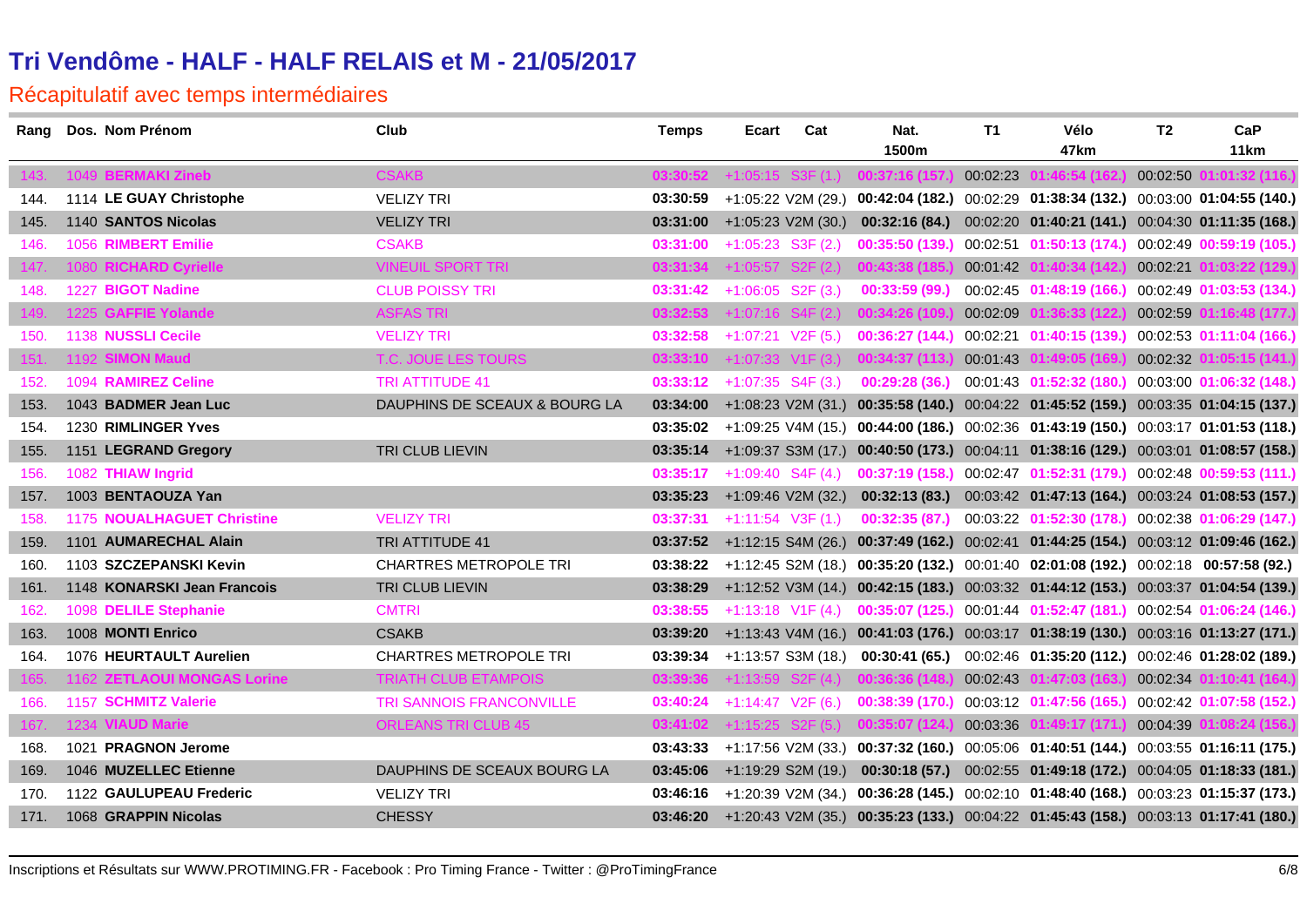| Rang | Dos. Nom Prénom                   | Club                          | <b>Temps</b>                        | <b>Ecart</b>        | Cat                 | Nat.<br>1500m                                          | T1       | Vélo<br>47km                                                                                  | T <sub>2</sub> | CaP<br>11 <sub>km</sub>  |
|------|-----------------------------------|-------------------------------|-------------------------------------|---------------------|---------------------|--------------------------------------------------------|----------|-----------------------------------------------------------------------------------------------|----------------|--------------------------|
| 143. | 1049 BERMAKI Zineb                | <b>CSAKB</b>                  |                                     |                     |                     | 03:30:52 +1:05:15 S3F (1.) 00:37:16 (157.              | 00:02:23 | 1:46:54 (162                                                                                  | 00:02:50       | )1:01:32 (116.)          |
| 144. | 1114 LE GUAY Christophe           | <b>VELIZY TRI</b>             | 03:30:59                            |                     |                     | $+1:05:22$ V2M (29.) 00:42:04 (182.)                   |          | 00:02:29 01:38:34 (132.) 00:03:00 01:04:55 (140.)                                             |                |                          |
| 145. | 1140 SANTOS Nicolas               | <b>VELIZY TRI</b>             |                                     |                     |                     | $03:31:00$ +1:05:23 V2M (30.) 00:32:16 (84.)           |          | 00:02:20  01:40:21  (141.)  00:04:30  01:11:35  (168.)                                        |                |                          |
| 146. | 1056 RIMBERT Emilie               | <b>CSAKB</b>                  | 03:31:00                            | $+1:05:23$ S3F (2.) |                     | 00:35:50 (139.)                                        |          | 00:02:51  01:50:13  (174.)  00:02:49  00:59:19  (105.)                                        |                |                          |
| 147. | 1080 RICHARD Cyrielle             | <b>VINEUIL SPORT TRI</b>      |                                     |                     |                     | $03:31:34$ +1:05:57 S2F (2.) 00:43:38 (185.)           | 00:01:42 | 01:40:34 (142.)                                                                               |                | 00:02:21 01:03:22 (129.) |
| 148. | 1227 BIGOT Nadine                 | <b>CLUB POISSY TRI</b>        | <b>03:31:42</b> $+1:06:05$ S2F (3.) |                     |                     | 00:33:59(99)                                           |          | 00:02:45 01:48:19 (166.)                                                                      |                | 00:02:49 01:03:53 (134.) |
| 149. | 1225 GAFFIE Yolande               | <b>ASFAS TRI</b>              |                                     |                     |                     | $03:32:53$ +1:07:16 S4F (2.) 00:34:26 (109.)           | 00:02:09 | 01:36:33 (122.)                                                                               |                | 00:02:59 01:16:48 (177.) |
| 150. | 1138 NUSSLI Cecile                | <b>VELIZY TRI</b>             | 03:32:58                            | $+1:07:21$ V2F (5.) |                     | 00:36:27(144)                                          |          | 00:02:21  01:40:15  (139.)  00:02:53  01:11:04  (166.)                                        |                |                          |
| 151. | 1192 SIMON Maud                   | T.C. JOUE LES TOURS           | 03:33:10                            |                     |                     | $+1:07:33$ V <sub>1</sub> F (3.) <b>00:34:37 (113.</b> | 00:01:43 | 01:49:05 <b>(16</b> 9                                                                         | 00:02:32       | 1:05:15 (141.)           |
| 152. | 1094 RAMIREZ Celine               | <b>TRI ATTITUDE 41</b>        | <b>03:33:12</b> $+1:07:35$ S4F (3.) |                     |                     | 00:29:28(36.)                                          |          | 00:01:43  01:52:32  (180.)  00:03:00  01:06:32  (148.)                                        |                |                          |
| 153. | 1043 BADMER Jean Luc              | DAUPHINS DE SCEAUX & BOURG LA | 03:34:00                            |                     |                     |                                                        |          | +1:08:23 V2M (31.) 00:35:58 (140.) 00:04:22 01:45:52 (159.) 00:03:35 01:04:15 (137.)          |                |                          |
| 154. | 1230 RIMLINGER Yves               |                               |                                     |                     |                     |                                                        |          | 03:35:02 +1:09:25 V4M (15.) 00:44:00 (186.) 00:02:36 01:43:19 (150.) 00:03:17 01:01:53 (118.) |                |                          |
| 155. | 1151 LEGRAND Gregory              | TRI CLUB LIEVIN               |                                     |                     |                     |                                                        |          | 03:35:14 +1:09:37 S3M (17.) 00:40:50 (173.) 00:04:11 01:38:16 (129.) 00:03:01 01:08:57 (158.) |                |                          |
| 156. | 1082 THIAW Ingrid                 |                               | 03:35:17                            |                     | $+1:09:40$ S4F (4.) |                                                        |          | 00:37:19 (158.) 00:02:47 01:52:31 (179.) 00:02:48 00:59:53 (111.)                             |                |                          |
| 157. | 1003 BENTAOUZA Yan                |                               |                                     |                     |                     |                                                        |          | 03:35:23 +1:09:46 V2M (32.) 00:32:13 (83.) 00:03:42 01:47:13 (164.) 00:03:24 01:08:53 (157.)  |                |                          |
| 158. | <b>1175 NOUALHAGUET Christine</b> | <b>VELIZY TRI</b>             | 03:37:31                            | $+1:11:54$ V3F (1.) |                     | 00:32:35(87)                                           |          | 00:03:22 01:52:30 (178.) 00:02:38 01:06:29 (147.)                                             |                |                          |
| 159. | 1101 AUMARECHAL Alain             | TRI ATTITUDE 41               |                                     |                     |                     |                                                        |          | 03:37:52 +1:12:15 S4M (26.) 00:37:49 (162.) 00:02:41 01:44:25 (154.) 00:03:12 01:09:46 (162.) |                |                          |
| 160. | 1103 SZCZEPANSKI Kevin            | <b>CHARTRES METROPOLE TRI</b> |                                     |                     |                     |                                                        |          | 03:38:22 +1:12:45 S2M (18.) 00:35:20 (132.) 00:01:40 02:01:08 (192.) 00:02:18 00:57:58 (92.)  |                |                          |
| 161. | 1148 KONARSKI Jean Francois       | TRI CLUB LIEVIN               | 03:38:29                            |                     |                     |                                                        |          | +1:12:52 V3M (14.) 00:42:15 (183.) 00:03:32 01:44:12 (153.) 00:03:37 01:04:54 (139.)          |                |                          |
| 162. | 1098 DELILE Stephanie             | <b>CMTRI</b>                  | 03:38:55                            |                     |                     |                                                        |          | $+1:13:18$ V1F (4.) 00:35:07 (125.) 00:01:44 01:52:47 (181.) 00:02:54 01:06:24 (146.)         |                |                          |
| 163. | 1008 MONTI Enrico                 | <b>CSAKB</b>                  |                                     |                     |                     |                                                        |          | 03:39:20 +1:13:43 V4M (16.) 00:41:03 (176.) 00:03:17 01:38:19 (130.) 00:03:16 01:13:27 (171.) |                |                          |
| 164. | 1076 HEURTAULT Aurelien           | <b>CHARTRES METROPOLE TRI</b> |                                     |                     |                     |                                                        |          | 03:39:34 +1:13:57 S3M (18.) 00:30:41 (65.) 00:02:46 01:35:20 (112.) 00:02:46 01:28:02 (189.)  |                |                          |
| 165  | 1162 ZETLAOUI MONGAS Lorine       | <b>TRIATH CLUB ETAMPOIS</b>   |                                     |                     |                     | $03:39:36$ +1:13:59 S2F (4.) 00:36:36 (148.)           | 00:02:43 | 01:47:03 (163.)                                                                               |                | 00:02:34 01:10:41 (164.) |
| 166. | 1157 SCHMITZ Valerie              | TRI SANNOIS FRANCONVILLE      | 03:40:24                            | $+1:14:47$ V2F (6.) |                     | 00:38:39(170.)                                         |          | 00:03:12 01:47:56 (165.) 00:02:42 01:07:58 (152.)                                             |                |                          |
| 167  | 1234 VIAUD Marie                  | <b>ORLEANS TRI CLUB 45</b>    |                                     |                     |                     | $03:41:02$ +1:15:25 S2F (5.) 00:35:07 (124.)           | 00:03:36 | 01:49:17 (171.)                                                                               | 00:04:39       | 01:08:24 (156.)          |
| 168. | 1021 PRAGNON Jerome               |                               |                                     |                     |                     |                                                        |          | 03:43:33 +1:17:56 V2M (33.) 00:37:32 (160.) 00:05:06 01:40:51 (144.) 00:03:55 01:16:11 (175.) |                |                          |
| 169. | 1046 MUZELLEC Etienne             | DAUPHINS DE SCEAUX BOURG LA   |                                     |                     |                     |                                                        |          | 03:45:06 +1:19:29 S2M (19.) 00:30:18 (57.) 00:02:55 01:49:18 (172.) 00:04:05 01:18:33 (181.)  |                |                          |
| 170. | 1122 GAULUPEAU Frederic           | <b>VELIZY TRI</b>             |                                     |                     |                     |                                                        |          | 03:46:16 +1:20:39 V2M (34.) 00:36:28 (145.) 00:02:10 01:48:40 (168.) 00:03:23 01:15:37 (173.) |                |                          |
| 171. | 1068 GRAPPIN Nicolas              | <b>CHESSY</b>                 |                                     |                     |                     |                                                        |          | 03:46:20 +1:20:43 V2M (35.) 00:35:23 (133.) 00:04:22 01:45:43 (158.) 00:03:13 01:17:41 (180.) |                |                          |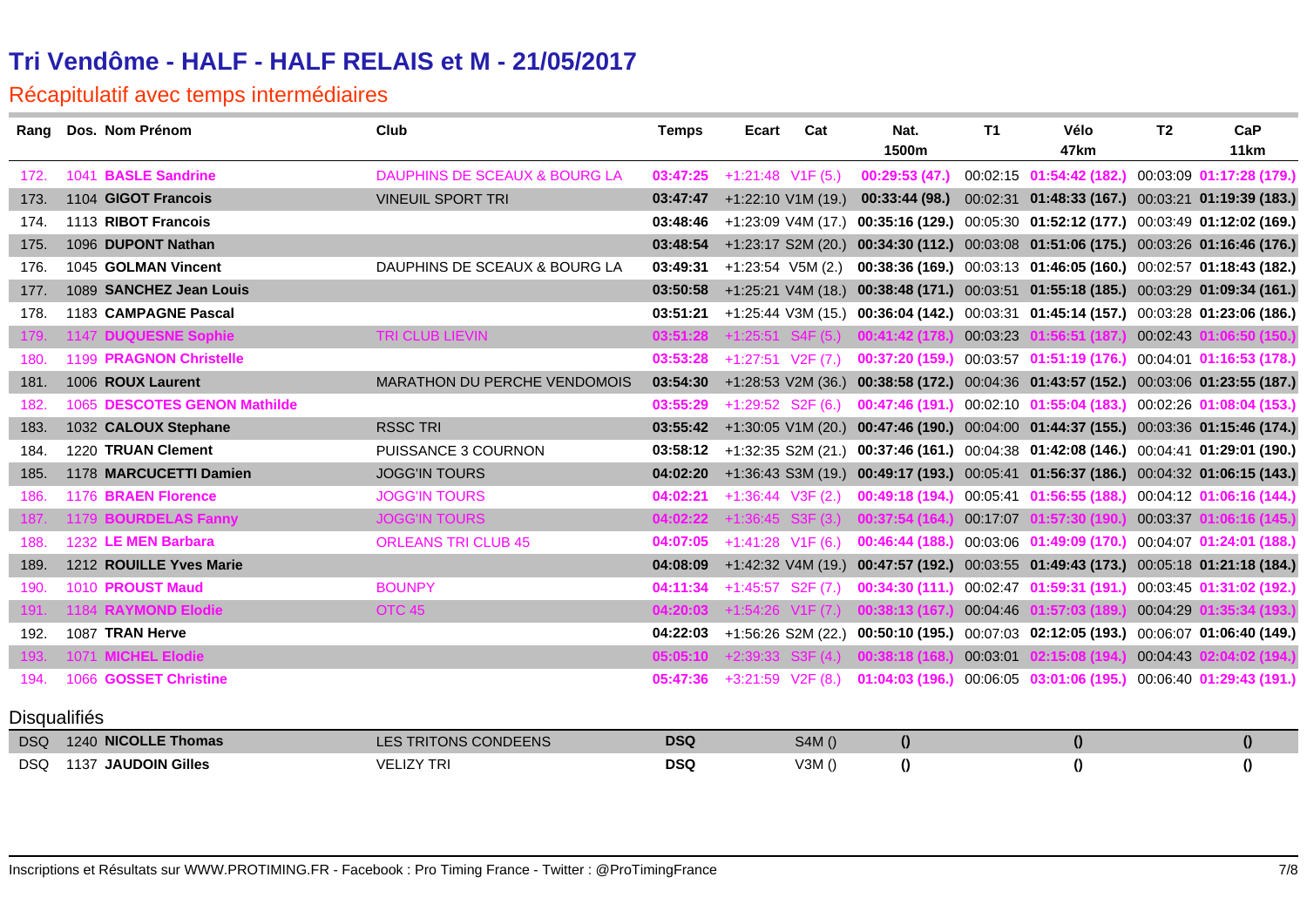| Rang                | Dos. Nom Prénom              | Club                                     | <b>Temps</b> | Ecart                | Cat                   | Nat.<br>1500m                       | <b>T1</b> | Vélo<br>47 <sub>km</sub>                                                                      | T <sub>2</sub> | CaP<br>11km              |
|---------------------|------------------------------|------------------------------------------|--------------|----------------------|-----------------------|-------------------------------------|-----------|-----------------------------------------------------------------------------------------------|----------------|--------------------------|
|                     |                              |                                          |              |                      |                       |                                     |           |                                                                                               |                |                          |
| 172.                | 1041 BASLE Sandrine          | <b>DAUPHINS DE SCEAUX &amp; BOURG LA</b> | 03:47:25     | $+1:21:48$ V1F (5.)  |                       | 00:29:53(47.)                       |           | 00:02:15 01:54:42 (182.) 00:03:09 01:17:28 (179.)                                             |                |                          |
| 173.                | 1104 GIGOT Francois          | <b>VINEUIL SPORT TRI</b>                 | 03:47:47     | $+1:22:10$ V1M (19.) |                       | 00:33:44(98)                        |           | 00:02:31  01:48:33  (167.)  00:03:21  01:19:39  (183.)                                        |                |                          |
| 174.                | 1113 RIBOT Francois          |                                          | 03:48:46     |                      | +1:23:09 V4M (17.)    |                                     |           | 00:35:16 (129.) 00:05:30 01:52:12 (177.) 00:03:49 01:12:02 (169.)                             |                |                          |
| 175.                | 1096 DUPONT Nathan           |                                          | 03:48:54     |                      |                       |                                     |           | +1:23:17 S2M (20.) 00:34:30 (112.) 00:03:08 01:51:06 (175.) 00:03:26 01:16:46 (176.)          |                |                          |
| 176.                | 1045 GOLMAN Vincent          | DAUPHINS DE SCEAUX & BOURG LA            | 03:49:31     | $+1:23:54$ V5M (2.)  |                       |                                     |           | 00:38:36 (169.) 00:03:13 01:46:05 (160.) 00:02:57 01:18:43 (182.)                             |                |                          |
| 177.                | 1089 SANCHEZ Jean Louis      |                                          | 03:50:58     |                      |                       |                                     |           | +1:25:21 V4M (18.) 00:38:48 (171.) 00:03:51 01:55:18 (185.) 00:03:29 01:09:34 (161.)          |                |                          |
| 178.                | 1183 CAMPAGNE Pascal         |                                          | 03:51:21     |                      |                       |                                     |           | +1:25:44 V3M (15.) 00:36:04 (142.) 00:03:31 01:45:14 (157.) 00:03:28 01:23:06 (186.)          |                |                          |
| 179.                | 1147 DUQUESNE Sophie         | <b>TRI CLUB LIEVIN</b>                   | 03:51:28     |                      |                       | $+1:25:51$ S4F (5.) 00:41:42 (178.) | 00:03:23  | )1:56:51 (187.)                                                                               | 00:02:43       | 1:06:50 (150.)           |
| 180.                | 1199 PRAGNON Christelle      |                                          | 03:53:28     | $+1:27:51$ V2F (7.)  |                       | 00:37:20 (159.)                     |           | 00:03:57 01:51:19 (176.)                                                                      |                | 00:04:01 01:16:53 (178.) |
| 181.                | 1006 ROUX Laurent            | <b>MARATHON DU PERCHE VENDOMOIS</b>      | 03:54:30     |                      |                       |                                     |           | +1:28:53 V2M (36.) 00:38:58 (172.) 00:04:36 01:43:57 (152.) 00:03:06 01:23:55 (187.)          |                |                          |
| 182.                | 1065 DESCOTES GENON Mathilde |                                          | 03:55:29     | $+1:29:52$ S2F (6.)  |                       |                                     |           | 00:47:46 (191.) 00:02:10 01:55:04 (183.) 00:02:26 01:08:04 (153.)                             |                |                          |
| 183.                | 1032 CALOUX Stephane         | <b>RSSC TRI</b>                          | 03:55:42     |                      |                       |                                     |           | +1:30:05 V1M (20.) 00:47:46 (190.) 00:04:00 01:44:37 (155.) 00:03:36 01:15:46 (174.)          |                |                          |
| 184.                | 1220 TRUAN Clement           | PUISSANCE 3 COURNON                      | 03:58:12     |                      |                       |                                     |           | +1:32:35 S2M (21.) 00:37:46 (161.) 00:04:38 01:42:08 (146.) 00:04:41 01:29:01 (190.)          |                |                          |
| 185.                | 1178 MARCUCETTI Damien       | <b>JOGG'IN TOURS</b>                     | 04:02:20     |                      |                       |                                     |           | +1:36:43 S3M (19.) 00:49:17 (193.) 00:05:41 01:56:37 (186.) 00:04:32 01:06:15 (143.)          |                |                          |
| 186.                | 1176 BRAEN Florence          | <b>JOGG'IN TOURS</b>                     | 04:02:21     | $+1:36:44$ V3F (2.)  |                       | 00:49:18(194)                       |           | 00:05:41 01:56:55 (188.)                                                                      |                | 00:04:12 01:06:16 (144.) |
| 187.                | 1179 BOURDELAS Fanny         | <b>JOGG'IN TOURS</b>                     | 04:02:22     | $+1:36:45$ S3F (3.)  |                       | 00:37:54 (164.)                     | 00:17:07  | 01:57:30 (190.)                                                                               |                | 00:03:37 01:06:16 (145.) |
| 188.                | 1232 LE MEN Barbara          | <b>ORLEANS TRI CLUB 45</b>               | 04:07:05     | $+1:41:28$ V1F (6.)  |                       | 00:46:44 (188.)                     |           | 00:03:06 01:49:09 (170.)                                                                      |                | 00:04:07 01:24:01 (188.) |
| 189.                | 1212 ROUILLE Yves Marie      |                                          | 04:08:09     |                      |                       |                                     |           | +1:42:32 V4M (19.) 00:47:57 (192.) 00:03:55 01:49:43 (173.) 00:05:18 01:21:18 (184.)          |                |                          |
| 190.                | 1010 PROUST Maud             | <b>BOUNPY</b>                            | 04:11:34     | $+1:45:57$ S2F (7.)  |                       | 00:34:30(111.)                      |           | 00:02:47 01:59:31 (191.)                                                                      |                | 00:03:45 01:31:02 (192.) |
| 191.                | 1184 RAYMOND Elodie          | OTC <sub>45</sub>                        | 04:20:03     |                      |                       | +1:54:26 V1F (7.) 00:38:13 (167     | 00:04:46  | 01:57:03 (189.)                                                                               | 00:04:29       | 1:35:34 (193.)           |
| 192.                | 1087 TRAN Herve              |                                          |              |                      |                       |                                     |           | 04:22:03 +1:56:26 S2M (22.) 00:50:10 (195.) 00:07:03 02:12:05 (193.) 00:06:07 01:06:40 (149.) |                |                          |
| 193.                | 1071 MICHEL Elodie           |                                          | 05:05:10     |                      | $+2:39:33$ S3F $(4.)$ | 00:38:18 (168                       | 00:03:01  | 02:15:08 (194.                                                                                | 00:04:43       | (194.02 (194.)           |
| 194.                | 1066 GOSSET Christine        |                                          | 05:47:36     | $+3:21:59$ V2F (8.)  |                       |                                     |           | 01:04:03 (196.) 00:06:05 03:01:06 (195.)                                                      |                | 00:06:40 01:29:43 (191.) |
|                     |                              |                                          |              |                      |                       |                                     |           |                                                                                               |                |                          |
| <b>Disqualifiés</b> |                              |                                          |              |                      |                       |                                     |           |                                                                                               |                |                          |
| DSQ                 | 1240 NICOLLE Thomas          | LES TRITONS CONDEENS                     | <b>DSQ</b>   |                      | S4M()                 | $\theta$                            |           | $\boldsymbol{0}$                                                                              |                | $\boldsymbol{0}$         |
| DSQ.                | 1137 JAUDOIN Gilles          | <b>VELIZY TRI</b>                        | <b>DSQ</b>   |                      | V3M()                 | $\bf{0}$                            |           | $\theta$                                                                                      |                | $\theta$                 |